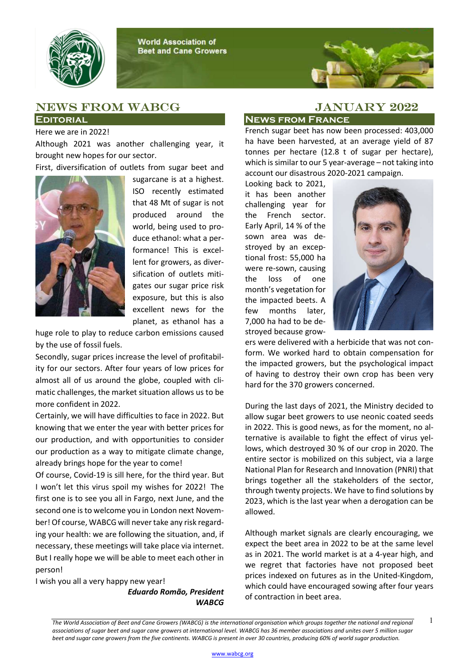



## News from WABCG JANUARY 2022 **EDITORIAL**

## Here we are in 2022!

Although 2021 was another challenging year, it brought new hopes for our sector.

First, diversification of outlets from sugar beet and



sugarcane is at a highest. ISO recently estimated that 48 Mt of sugar is not produced around the world, being used to produce ethanol: what a performance! This is excellent for growers, as diversification of outlets mitigates our sugar price risk exposure, but this is also excellent news for the planet, as ethanol has a

huge role to play to reduce carbon emissions caused by the use of fossil fuels.

Secondly, sugar prices increase the level of profitability for our sectors. After four years of low prices for almost all of us around the globe, coupled with climatic challenges, the market situation allows us to be more confident in 2022.

Certainly, we will have difficulties to face in 2022. But knowing that we enter the year with better prices for our production, and with opportunities to consider our production as a way to mitigate climate change, already brings hope for the year to come!

Of course, Covid-19 is sill here, for the third year. But I won't let this virus spoil my wishes for 2022! The first one is to see you all in Fargo, next June, and the second one is to welcome you in London next November! Of course, WABCG will never take any risk regarding your health: we are following the situation, and, if necessary, these meetings will take place via internet. But I really hope we will be able to meet each other in person!

I wish you all a very happy new year! Eduardo Romão, President **WABCG** 

## News from France

French sugar beet has now been processed: 403,000 ha have been harvested, at an average yield of 87 tonnes per hectare (12.8 t of sugar per hectare), which is similar to our 5 year-average – not taking into account our disastrous 2020-2021 campaign.

Looking back to 2021, it has been another challenging year for the French sector. Early April, 14 % of the sown area was destroyed by an exceptional frost: 55,000 ha were re-sown, causing the loss of one month's vegetation for the impacted beets. A few months later, 7,000 ha had to be destroyed because grow-



ers were delivered with a herbicide that was not conform. We worked hard to obtain compensation for the impacted growers, but the psychological impact of having to destroy their own crop has been very hard for the 370 growers concerned.

During the last days of 2021, the Ministry decided to allow sugar beet growers to use neonic coated seeds in 2022. This is good news, as for the moment, no alternative is available to fight the effect of virus yellows, which destroyed 30 % of our crop in 2020. The entire sector is mobilized on this subject, via a large National Plan for Research and Innovation (PNRI) that brings together all the stakeholders of the sector, through twenty projects. We have to find solutions by 2023, which is the last year when a derogation can be allowed.

Although market signals are clearly encouraging, we expect the beet area in 2022 to be at the same level as in 2021. The world market is at a 4-year high, and we regret that factories have not proposed beet prices indexed on futures as in the United-Kingdom, which could have encouraged sowing after four years of contraction in beet area.

The World Association of Beet and Cane Growers (WABCG) is the international organisation which groups together the national and regional  $1$ associations of sugar beet and sugar cane growers at international level. WABCG has 36 member associations and unites over 5 million sugar beet and sugar cane growers from the five continents. WABCG is present in over 30 countries, producing 60% of world sugar production.